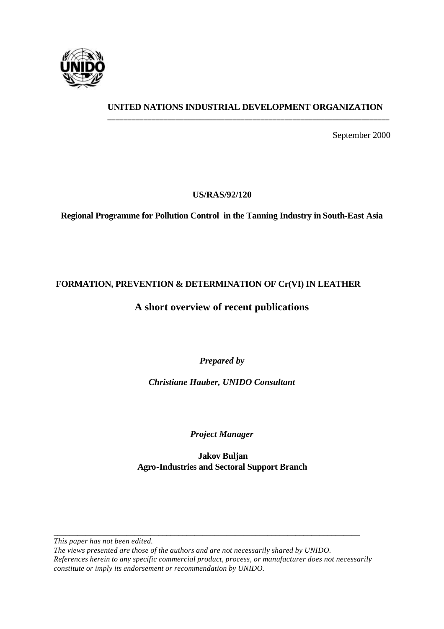

# **UNITED NATIONS INDUSTRIAL DEVELOPMENT ORGANIZATION \_\_\_\_\_\_\_\_\_\_\_\_\_\_\_\_\_\_\_\_\_\_\_\_\_\_\_\_\_\_\_\_\_\_\_\_\_\_\_\_\_\_\_\_\_\_\_\_\_\_\_\_\_\_\_\_\_\_\_\_\_\_\_\_\_\_\_\_\_\_**

September 2000

# **US/RAS/92/120**

**Regional Programme for Pollution Control in the Tanning Industry in South-East Asia**

# **FORMATION, PREVENTION & DETERMINATION OF Cr(VI) IN LEATHER**

# **A short overview of recent publications**

*Prepared by*

*Christiane Hauber, UNIDO Consultant*

*Project Manager*

 **Jakov Buljan Agro-Industries and Sectoral Support Branch**

*\_\_\_\_\_\_\_\_\_\_\_\_\_\_\_\_\_\_\_\_\_\_\_\_\_\_\_\_\_\_\_\_\_\_\_\_\_\_\_\_\_\_\_\_\_\_\_\_\_\_\_\_\_\_\_\_\_\_\_\_\_\_\_\_\_\_\_\_\_\_\_\_\_\_\_\_ This paper has not been edited.* 

*The views presented are those of the authors and are not necessarily shared by UNIDO. References herein to any specific commercial product, process, or manufacturer does not necessarily constitute or imply its endorsement or recommendation by UNIDO.*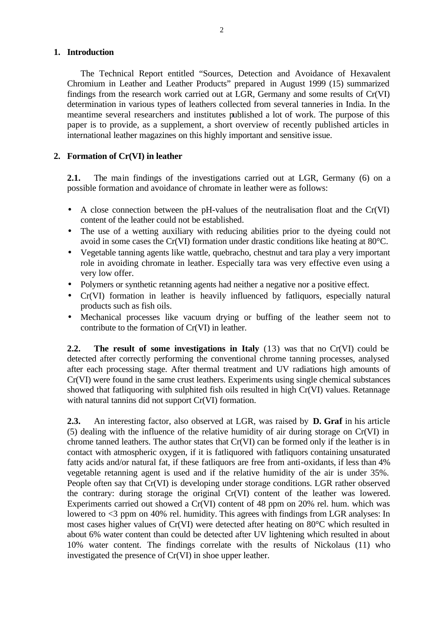## **1. Introduction**

The Technical Report entitled "Sources, Detection and Avoidance of Hexavalent Chromium in Leather and Leather Products" prepared in August 1999 (15) summarized findings from the research work carried out at LGR, Germany and some results of Cr(VI) determination in various types of leathers collected from several tanneries in India. In the meantime several researchers and institutes published a lot of work. The purpose of this paper is to provide, as a supplement, a short overview of recently published articles in international leather magazines on this highly important and sensitive issue.

#### **2. Formation of Cr(VI) in leather**

**2.1.** The main findings of the investigations carried out at LGR, Germany (6) on a possible formation and avoidance of chromate in leather were as follows:

- A close connection between the pH-values of the neutralisation float and the Cr(VI) content of the leather could not be established.
- The use of a wetting auxiliary with reducing abilities prior to the dyeing could not avoid in some cases the Cr(VI) formation under drastic conditions like heating at 80°C.
- Vegetable tanning agents like wattle, quebracho, chestnut and tara play a very important role in avoiding chromate in leather. Especially tara was very effective even using a very low offer.
- Polymers or synthetic retanning agents had neither a negative nor a positive effect.
- Cr(VI) formation in leather is heavily influenced by fatliquors, especially natural products such as fish oils.
- Mechanical processes like vacuum drying or buffing of the leather seem not to contribute to the formation of Cr(VI) in leather.

**2.2. The result of some investigations in Italy** (13) was that no Cr(VI) could be detected after correctly performing the conventional chrome tanning processes, analysed after each processing stage. After thermal treatment and UV radiations high amounts of Cr(VI) were found in the same crust leathers. Experiments using single chemical substances showed that fatliquoring with sulphited fish oils resulted in high Cr(VI) values. Retannage with natural tannins did not support  $Cr(VI)$  formation.

**2.3.** An interesting factor, also observed at LGR, was raised by **D. Graf** in his article (5) dealing with the influence of the relative humidity of air during storage on Cr(VI) in chrome tanned leathers. The author states that Cr(VI) can be formed only if the leather is in contact with atmospheric oxygen, if it is fatliquored with fatliquors containing unsaturated fatty acids and/or natural fat, if these fatliquors are free from anti-oxidants, if less than 4% vegetable retanning agent is used and if the relative humidity of the air is under 35%. People often say that Cr(VI) is developing under storage conditions. LGR rather observed the contrary: during storage the original Cr(VI) content of the leather was lowered. Experiments carried out showed a Cr(VI) content of 48 ppm on 20% rel. hum. which was lowered to <3 ppm on 40% rel. humidity. This agrees with findings from LGR analyses: In most cases higher values of Cr(VI) were detected after heating on 80°C which resulted in about 6% water content than could be detected after UV lightening which resulted in about 10% water content. The findings correlate with the results of Nickolaus (11) who investigated the presence of Cr(VI) in shoe upper leather.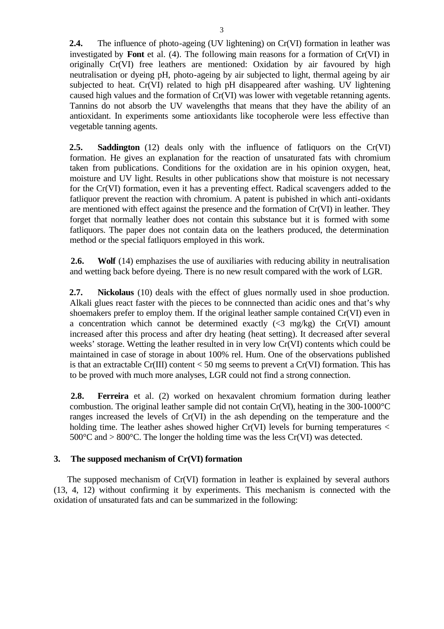**2.4.** The influence of photo-ageing (UV lightening) on Cr(VI) formation in leather was investigated by **Font** et al. (4). The following main reasons for a formation of Cr(VI) in originally Cr(VI) free leathers are mentioned: Oxidation by air favoured by high neutralisation or dyeing pH, photo-ageing by air subjected to light, thermal ageing by air subjected to heat. Cr(VI) related to high pH disappeared after washing. UV lightening caused high values and the formation of Cr(VI) was lower with vegetable retanning agents. Tannins do not absorb the UV wavelengths that means that they have the ability of an antioxidant. In experiments some antioxidants like tocopherole were less effective than vegetable tanning agents.

**2.5.** Saddington (12) deals only with the influence of fatliquors on the Cr(VI) formation. He gives an explanation for the reaction of unsaturated fats with chromium taken from publications. Conditions for the oxidation are in his opinion oxygen, heat, moisture and UV light. Results in other publications show that moisture is not necessary for the Cr(VI) formation, even it has a preventing effect. Radical scavengers added to the fatliquor prevent the reaction with chromium. A patent is pubished in which anti-oxidants are mentioned with effect against the presence and the formation of Cr(VI) in leather. They forget that normally leather does not contain this substance but it is formed with some fatliquors. The paper does not contain data on the leathers produced, the determination method or the special fatliquors employed in this work.

**2.6.** Wolf (14) emphazises the use of auxiliaries with reducing ability in neutralisation and wetting back before dyeing. There is no new result compared with the work of LGR.

 **2.7. Nickolaus** (10) deals with the effect of glues normally used in shoe production. Alkali glues react faster with the pieces to be connnected than acidic ones and that's why shoemakers prefer to employ them. If the original leather sample contained Cr(VI) even in a concentration which cannot be determined exactly  $(\leq 3 \text{ mg/kg})$  the Cr(VI) amount increased after this process and after dry heating (heat setting). It decreased after several weeks' storage. Wetting the leather resulted in in very low Cr(VI) contents which could be maintained in case of storage in about 100% rel. Hum. One of the observations published is that an extractable Cr(III) content  $<$  50 mg seems to prevent a Cr(VI) formation. This has to be proved with much more analyses, LGR could not find a strong connection.

**2.8. Ferreira** et al. (2) worked on hexavalent chromium formation during leather combustion. The original leather sample did not contain Cr(VI), heating in the 300-1000°C ranges increased the levels of Cr(VI) in the ash depending on the temperature and the holding time. The leather ashes showed higher  $Cr(VI)$  levels for burning temperatures  $\lt$  $500^{\circ}$ C and  $> 800^{\circ}$ C. The longer the holding time was the less Cr(VI) was detected.

# **3. The supposed mechanism of Cr(VI) formation**

The supposed mechanism of Cr(VI) formation in leather is explained by several authors (13, 4, 12) without confirming it by experiments. This mechanism is connected with the oxidation of unsaturated fats and can be summarized in the following: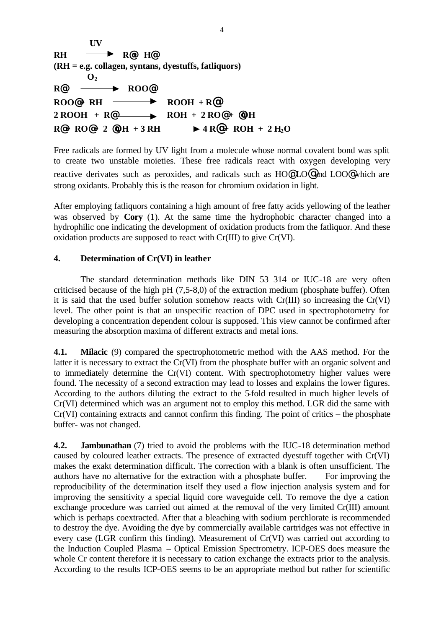**UV RH R@+ H@ (RH = e.g. collagen, syntans, dyestuffs, fatliquors)**  $\mathbf{O}_2$ **R**<sup>*@*</sup> —**BOO**<sup>*@*</sup>  $ROO@+ RH \longrightarrow ROOH + R@$  $2 \text{ ROOH } + \text{R@}$   $\longrightarrow$   $\text{ROH } + 2 \text{RO@} + \text{QOH}$  $R@+R0@+2@OH+3RH \longrightarrow 4 R@+ROH+2H<sub>2</sub>$ 

Free radicals are formed by UV light from a molecule whose normal covalent bond was split to create two unstable moieties. These free radicals react with oxygen developing very reactive derivates such as peroxides, and radicals such as HO@ LO@ and LOO@ which are strong oxidants. Probably this is the reason for chromium oxidation in light.

After employing fatliquors containing a high amount of free fatty acids yellowing of the leather was observed by **Cory** (1). At the same time the hydrophobic character changed into a hydrophilic one indicating the development of oxidation products from the fatliquor. And these oxidation products are supposed to react with Cr(III) to give Cr(VI).

#### **4. Determination of Cr(VI) in leather**

The standard determination methods like DIN 53 314 or IUC-18 are very often criticised because of the high pH (7,5-8,0) of the extraction medium (phosphate buffer). Often it is said that the used buffer solution somehow reacts with Cr(III) so increasing the Cr(VI) level. The other point is that an unspecific reaction of DPC used in spectrophotometry for developing a concentration dependent colour is supposed. This view cannot be confirmed after measuring the absorption maxima of different extracts and metal ions.

**4.1. Milacic** (9) compared the spectrophotometric method with the AAS method. For the latter it is necessary to extract the Cr(VI) from the phosphate buffer with an organic solvent and to immediately determine the Cr(VI) content. With spectrophotometry higher values were found. The necessity of a second extraction may lead to losses and explains the lower figures. According to the authors diluting the extract to the 5-fold resulted in much higher levels of Cr(VI) determined which was an argument not to employ this method. LGR did the same with Cr(VI) containing extracts and cannot confirm this finding. The point of critics – the phosphate buffer- was not changed.

**4.2. Jambunathan** (7) tried to avoid the problems with the IUC-18 determination method caused by coloured leather extracts. The presence of extracted dyestuff together with Cr(VI) makes the exakt determination difficult. The correction with a blank is often unsufficient. The authors have no alternative for the extraction with a phosphate buffer. For improving the reproducibility of the determination itself they used a flow injection analysis system and for improving the sensitivity a special liquid core waveguide cell. To remove the dye a cation exchange procedure was carried out aimed at the removal of the very limited Cr(III) amount which is perhaps coextracted. After that a bleaching with sodium perchlorate is recommended to destroy the dye. Avoiding the dye by commercially available cartridges was not effective in every case (LGR confirm this finding). Measurement of Cr(VI) was carried out according to the Induction Coupled Plasma – Optical Emission Spectrometry. ICP-OES does measure the whole Cr content therefore it is necessary to cation exchange the extracts prior to the analysis. According to the results ICP-OES seems to be an appropriate method but rather for scientific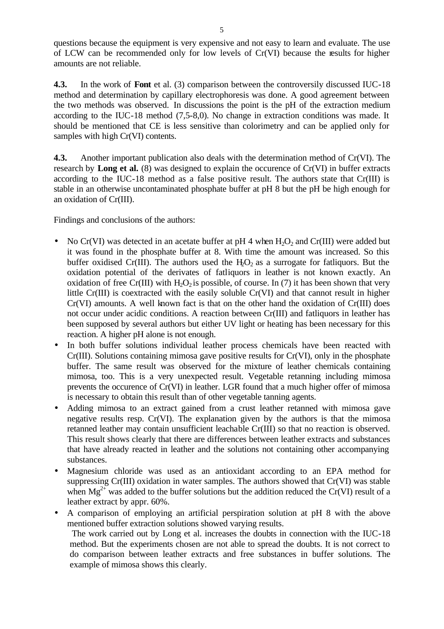questions because the equipment is very expensive and not easy to learn and evaluate. The use of LCW can be recommended only for low levels of Cr(VI) because the results for higher amounts are not reliable.

**4.3.** In the work of **Font** et al. (3) comparison between the controversily discussed IUC-18 method and determination by capillary electrophoresis was done. A good agreement between the two methods was observed. In discussions the point is the pH of the extraction medium according to the IUC-18 method (7,5-8,0). No change in extraction conditions was made. It should be mentioned that CE is less sensitive than colorimetry and can be applied only for samples with high Cr(VI) contents.

**4.3.** Another important publication also deals with the determination method of Cr(VI). The research by **Long et al.** (8) was designed to explain the occurence of Cr(VI) in buffer extracts according to the IUC-18 method as a false positive result. The authors state that Cr(III) is stable in an otherwise uncontaminated phosphate buffer at pH 8 but the pH be high enough for an oxidation of Cr(III).

Findings and conclusions of the authors:

- No Cr(VI) was detected in an acetate buffer at pH 4 when  $H_2O_2$  and Cr(III) were added but it was found in the phosphate buffer at 8. With time the amount was increased. So this buffer oxidised Cr(III). The authors used the  $H_1O_2$  as a surrogate for fatliquors. But the oxidation potential of the derivates of fatliquors in leather is not known exactly. An oxidation of free Cr(III) with  $H_2O_2$  is possible, of course. In (7) it has been shown that very little Cr(III) is coextracted with the easily soluble Cr(VI) and that cannot result in higher Cr(VI) amounts. A well known fact is that on the other hand the oxidation of Cr(III) does not occur under acidic conditions. A reaction between Cr(III) and fatliquors in leather has been supposed by several authors but either UV light or heating has been necessary for this reaction. A higher pH alone is not enough.
- In both buffer solutions individual leather process chemicals have been reacted with Cr(III). Solutions containing mimosa gave positive results for Cr(VI), only in the phosphate buffer. The same result was observed for the mixture of leather chemicals containing mimosa, too. This is a very unexpected result. Vegetable retanning including mimosa prevents the occurence of Cr(VI) in leather. LGR found that a much higher offer of mimosa is necessary to obtain this result than of other vegetable tanning agents.
- Adding mimosa to an extract gained from a crust leather retanned with mimosa gave negative results resp. Cr(VI). The explanation given by the authors is that the mimosa retanned leather may contain unsufficient leachable Cr(III) so that no reaction is observed. This result shows clearly that there are differences between leather extracts and substances that have already reacted in leather and the solutions not containing other accompanying substances.
- Magnesium chloride was used as an antioxidant according to an EPA method for suppressing Cr(III) oxidation in water samples. The authors showed that Cr(VI) was stable when  $Mg^{2+}$  was added to the buffer solutions but the addition reduced the Cr(VI) result of a leather extract by appr. 60%.
- A comparison of employing an artificial perspiration solution at pH 8 with the above mentioned buffer extraction solutions showed varying results.

 The work carried out by Long et al. increases the doubts in connection with the IUC-18 method. But the experiments chosen are not able to spread the doubts. It is not correct to do comparison between leather extracts and free substances in buffer solutions. The example of mimosa shows this clearly.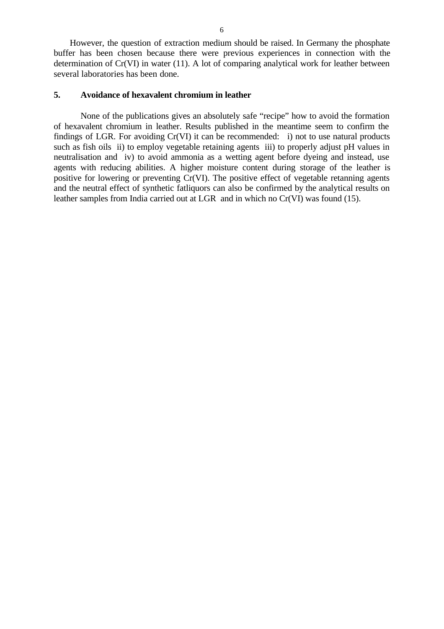However, the question of extraction medium should be raised. In Germany the phosphate buffer has been chosen because there were previous experiences in connection with the determination of Cr(VI) in water (11). A lot of comparing analytical work for leather between several laboratories has been done.

#### **5. Avoidance of hexavalent chromium in leather**

None of the publications gives an absolutely safe "recipe" how to avoid the formation of hexavalent chromium in leather. Results published in the meantime seem to confirm the findings of LGR. For avoiding Cr(VI) it can be recommended: i) not to use natural products such as fish oils ii) to employ vegetable retaining agents iii) to properly adjust pH values in neutralisation and iv) to avoid ammonia as a wetting agent before dyeing and instead, use agents with reducing abilities. A higher moisture content during storage of the leather is positive for lowering or preventing Cr(VI). The positive effect of vegetable retanning agents and the neutral effect of synthetic fatliquors can also be confirmed by the analytical results on leather samples from India carried out at LGR and in which no Cr(VI) was found (15).